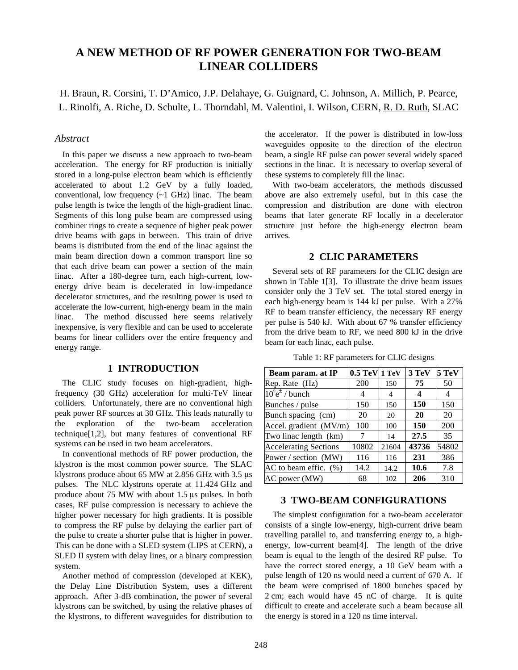# **A NEW METHOD OF RF POWER GENERATION FOR TWO-BEAM LINEAR COLLIDERS**

H. Braun, R. Corsini, T. D'Amico, J.P. Delahaye, G. Guignard, C. Johnson, A. Millich, P. Pearce, L. Rinolfi, A. Riche, D. Schulte, L. Thorndahl, M. Valentini, I. Wilson, CERN, R. D. Ruth, SLAC

#### *Abstract*

In this paper we discuss a new approach to two-beam acceleration. The energy for RF production is initially stored in a long-pulse electron beam which is efficiently accelerated to about 1.2 GeV by a fully loaded, conventional, low frequency (~1 GHz) linac. The beam pulse length is twice the length of the high-gradient linac. Segments of this long pulse beam are compressed using combiner rings to create a sequence of higher peak power drive beams with gaps in between. This train of drive beams is distributed from the end of the linac against the main beam direction down a common transport line so that each drive beam can power a section of the main linac. After a 180-degree turn, each high-current, lowenergy drive beam is decelerated in low-impedance decelerator structures, and the resulting power is used to accelerate the low-current, high-energy beam in the main linac. The method discussed here seems relatively inexpensive, is very flexible and can be used to accelerate beams for linear colliders over the entire frequency and energy range.

## **1 INTRODUCTION**

The CLIC study focuses on high-gradient, highfrequency (30 GHz) acceleration for multi-TeV linear colliders. Unfortunately, there are no conventional high peak power RF sources at 30 GHz. This leads naturally to the exploration of the two-beam acceleration technique[1,2], but many features of conventional RF systems can be used in two beam accelerators.

In conventional methods of RF power production, the klystron is the most common power source. The SLAC klystrons produce about 65 MW at 2.856 GHz with 3.5 µs pulses. The NLC klystrons operate at 11.424 GHz and produce about  $75 \text{ MW}$  with about  $1.5 \text{ µs}$  pulses. In both cases, RF pulse compression is necessary to achieve the higher power necessary for high gradients. It is possible to compress the RF pulse by delaying the earlier part of the pulse to create a shorter pulse that is higher in power. This can be done with a SLED system (LIPS at CERN), a SLED II system with delay lines, or a binary compression system.

Another method of compression (developed at KEK), the Delay Line Distribution System, uses a different approach. After 3-dB combination, the power of several klystrons can be switched, by using the relative phases of the klystrons, to different waveguides for distribution to

the accelerator. If the power is distributed in low-loss waveguides **opposite** to the direction of the electron beam, a single RF pulse can power several widely spaced sections in the linac. It is necessary to overlap several of these systems to completely fill the linac.

With two-beam accelerators, the methods discussed above are also extremely useful, but in this case the compression and distribution are done with electron beams that later generate RF locally in a decelerator structure just before the high-energy electron beam arrives.

## **2 CLIC PARAMETERS**

Several sets of RF parameters for the CLIC design are shown in Table 1[3]. To illustrate the drive beam issues consider only the 3 TeV set. The total stored energy in each high-energy beam is 144 kJ per pulse. With a 27% RF to beam transfer efficiency, the necessary RF energy per pulse is 540 kJ. With about 67 % transfer efficiency from the drive beam to RF, we need 800 kJ in the drive beam for each linac, each pulse.

|  |  | Table 1: RF parameters for CLIC designs |  |  |  |
|--|--|-----------------------------------------|--|--|--|
|--|--|-----------------------------------------|--|--|--|

| Beam param. at IP                            | 0.5 TeV 1 TeV |       | 3 TeV | 5 TeV |
|----------------------------------------------|---------------|-------|-------|-------|
| Rep. Rate (Hz)                               | 200           | 150   | 75    | 50    |
| $10^9$ e <sup><math>\pm</math></sup> / bunch | 4             | 4     | 4     | 4     |
| Bunches / pulse                              | 150           | 150   | 150   | 150   |
| Bunch spacing (cm)                           | 20            | 20    | 20    | 20    |
| Accel. gradient (MV/m)                       | 100           | 100   | 150   | 200   |
| Two linac length (km)                        |               | 14    | 27.5  | 35    |
| <b>Accelerating Sections</b>                 | 10802         | 21604 | 43736 | 54802 |
| Power / section (MW)                         | 116           | 116   | 231   | 386   |
| AC to beam effic. (%)                        | 14.2          | 14.2  | 10.6  | 7.8   |
| AC power (MW)                                | 68            | 102   | 206   | 310   |

#### **3 TWO-BEAM CONFIGURATIONS**

The simplest configuration for a two-beam accelerator consists of a single low-energy, high-current drive beam travelling parallel to, and transferring energy to, a highenergy, low-current beam[4]. The length of the drive beam is equal to the length of the desired RF pulse. To have the correct stored energy, a 10 GeV beam with a pulse length of 120 ns would need a current of 670 A. If the beam were comprised of 1800 bunches spaced by 2 cm; each would have 45 nC of charge. It is quite difficult to create and accelerate such a beam because all the energy is stored in a 120 ns time interval.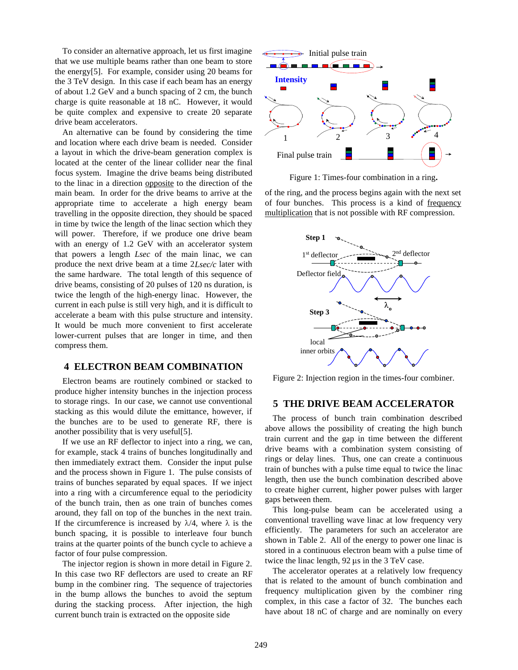To consider an alternative approach, let us first imagine that we use multiple beams rather than one beam to store the energy[5]. For example, consider using 20 beams for the 3 TeV design. In this case if each beam has an energy of about 1.2 GeV and a bunch spacing of 2 cm, the bunch charge is quite reasonable at 18 nC. However, it would be quite complex and expensive to create 20 separate drive beam accelerators.

An alternative can be found by considering the time and location where each drive beam is needed. Consider a layout in which the drive-beam generation complex is located at the center of the linear collider near the final focus system. Imagine the drive beams being distributed to the linac in a direction opposite to the direction of the main beam. In order for the drive beams to arrive at the appropriate time to accelerate a high energy beam travelling in the opposite direction, they should be spaced in time by twice the length of the linac section which they will power. Therefore, if we produce one drive beam with an energy of 1.2 GeV with an accelerator system that powers a length *Lsec* of the main linac, we can produce the next drive beam at a time 2*Lsec/c* later with the same hardware. The total length of this sequence of drive beams, consisting of 20 pulses of 120 ns duration, is twice the length of the high-energy linac. However, the current in each pulse is still very high, and it is difficult to accelerate a beam with this pulse structure and intensity. It would be much more convenient to first accelerate lower-current pulses that are longer in time, and then compress them.

#### **4 ELECTRON BEAM COMBINATION**

Electron beams are routinely combined or stacked to produce higher intensity bunches in the injection process to storage rings. In our case, we cannot use conventional stacking as this would dilute the emittance, however, if the bunches are to be used to generate RF, there is another possibility that is very useful[5].

If we use an RF deflector to inject into a ring, we can, for example, stack 4 trains of bunches longitudinally and then immediately extract them. Consider the input pulse and the process shown in Figure 1. The pulse consists of trains of bunches separated by equal spaces. If we inject into a ring with a circumference equal to the periodicity of the bunch train, then as one train of bunches comes around, they fall on top of the bunches in the next train. If the circumference is increased by  $\lambda/4$ , where  $\lambda$  is the bunch spacing, it is possible to interleave four bunch trains at the quarter points of the bunch cycle to achieve a factor of four pulse compression.

The injector region is shown in more detail in Figure 2. In this case two RF deflectors are used to create an RF bump in the combiner ring. The sequence of trajectories in the bump allows the bunches to avoid the septum during the stacking process. After injection, the high current bunch train is extracted on the opposite side



Figure 1: Times-four combination in a ring**.**

of the ring, and the process begins again with the next set of four bunches. This process is a kind of frequency multiplication that is not possible with RF compression.



Figure 2: Injection region in the times-four combiner.

## **5 THE DRIVE BEAM ACCELERATOR**

The process of bunch train combination described above allows the possibility of creating the high bunch train current and the gap in time between the different drive beams with a combination system consisting of rings or delay lines. Thus, one can create a continuous train of bunches with a pulse time equal to twice the linac length, then use the bunch combination described above to create higher current, higher power pulses with larger gaps between them.

This long-pulse beam can be accelerated using a conventional travelling wave linac at low frequency very efficiently. The parameters for such an accelerator are shown in Table 2. All of the energy to power one linac is stored in a continuous electron beam with a pulse time of twice the linac length,  $92 \mu s$  in the 3 TeV case.

The accelerator operates at a relatively low frequency that is related to the amount of bunch combination and frequency multiplication given by the combiner ring complex, in this case a factor of 32. The bunches each have about 18 nC of charge and are nominally on every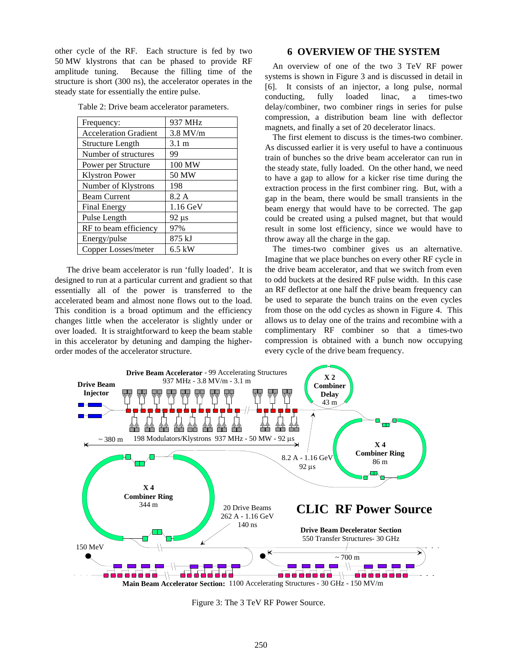other cycle of the RF. Each structure is fed by two 50 MW klystrons that can be phased to provide RF amplitude tuning. Because the filling time of the structure is short (300 ns), the accelerator operates in the steady state for essentially the entire pulse.

| Frequency:                   | 937 MHz         |  |  |
|------------------------------|-----------------|--|--|
| <b>Acceleration Gradient</b> | $3.8$ MV/m      |  |  |
| <b>Structure Length</b>      | $3.1 \text{ m}$ |  |  |
| Number of structures         | 99              |  |  |
| Power per Structure          | 100 MW          |  |  |
| <b>Klystron Power</b>        | 50 MW           |  |  |
| Number of Klystrons          | 198             |  |  |
| <b>Beam Current</b>          | 8.2 A           |  |  |
| <b>Final Energy</b>          | $1.16$ GeV      |  |  |
| Pulse Length                 | $92 \mu s$      |  |  |
| RF to beam efficiency        | 97%             |  |  |
| Energy/pulse                 | 875 kJ          |  |  |
| Copper Losses/meter          | $6.5$ kW        |  |  |

Table 2: Drive beam accelerator parameters.

 The drive beam accelerator is run 'fully loaded'. It is designed to run at a particular current and gradient so that essentially all of the power is transferred to the accelerated beam and almost none flows out to the load. This condition is a broad optimum and the efficiency changes little when the accelerator is slightly under or over loaded. It is straightforward to keep the beam stable in this accelerator by detuning and damping the higherorder modes of the accelerator structure.

## **6 OVERVIEW OF THE SYSTEM**

An overview of one of the two 3 TeV RF power systems is shown in Figure 3 and is discussed in detail in [6]. It consists of an injector, a long pulse, normal conducting, fully loaded linac, a times-two delay/combiner, two combiner rings in series for pulse compression, a distribution beam line with deflector magnets, and finally a set of 20 decelerator linacs.

The first element to discuss is the times-two combiner. As discussed earlier it is very useful to have a continuous train of bunches so the drive beam accelerator can run in the steady state, fully loaded. On the other hand, we need to have a gap to allow for a kicker rise time during the extraction process in the first combiner ring. But, with a gap in the beam, there would be small transients in the beam energy that would have to be corrected. The gap could be created using a pulsed magnet, but that would result in some lost efficiency, since we would have to throw away all the charge in the gap.

The times-two combiner gives us an alternative. Imagine that we place bunches on every other RF cycle in the drive beam accelerator, and that we switch from even to odd buckets at the desired RF pulse width. In this case an RF deflector at one half the drive beam frequency can be used to separate the bunch trains on the even cycles from those on the odd cycles as shown in Figure 4. This allows us to delay one of the trains and recombine with a complimentary RF combiner so that a times-two compression is obtained with a bunch now occupying every cycle of the drive beam frequency.



Figure 3: The 3 TeV RF Power Source.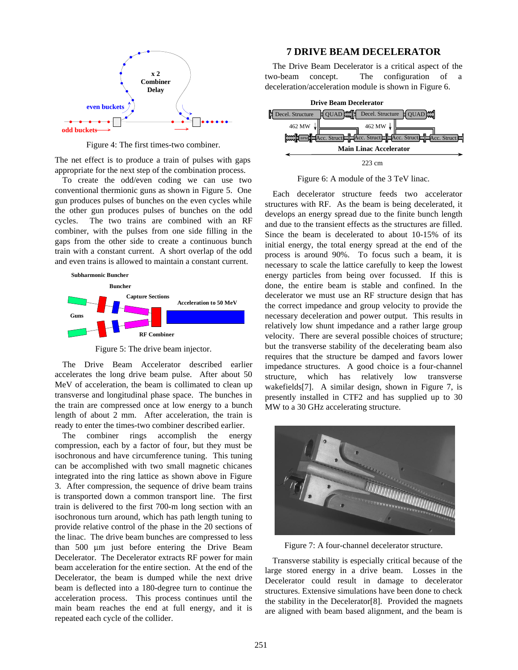

Figure 4: The first times-two combiner.

The net effect is to produce a train of pulses with gaps appropriate for the next step of the combination process.

To create the odd/even coding we can use two conventional thermionic guns as shown in Figure 5. One gun produces pulses of bunches on the even cycles while the other gun produces pulses of bunches on the odd cycles. The two trains are combined with an RF combiner, with the pulses from one side filling in the gaps from the other side to create a continuous bunch train with a constant current. A short overlap of the odd and even trains is allowed to maintain a constant current.



Figure 5: The drive beam injector.

The Drive Beam Accelerator described earlier accelerates the long drive beam pulse. After about 50 MeV of acceleration, the beam is collimated to clean up transverse and longitudinal phase space. The bunches in the train are compressed once at low energy to a bunch length of about 2 mm. After acceleration, the train is ready to enter the times-two combiner described earlier.

The combiner rings accomplish the energy compression, each by a factor of four, but they must be isochronous and have circumference tuning. This tuning can be accomplished with two small magnetic chicanes integrated into the ring lattice as shown above in Figure 3. After compression, the sequence of drive beam trains is transported down a common transport line. The first train is delivered to the first 700-m long section with an isochronous turn around, which has path length tuning to provide relative control of the phase in the 20 sections of the linac. The drive beam bunches are compressed to less than 500 um just before entering the Drive Beam Decelerator. The Decelerator extracts RF power for main beam acceleration for the entire section. At the end of the Decelerator, the beam is dumped while the next drive beam is deflected into a 180-degree turn to continue the acceleration process. This process continues until the main beam reaches the end at full energy, and it is repeated each cycle of the collider.

#### **7 DRIVE BEAM DECELERATOR**

The Drive Beam Decelerator is a critical aspect of the two-beam concept. The configuration of a deceleration/acceleration module is shown in Figure 6.



Figure 6: A module of the 3 TeV linac.

Each decelerator structure feeds two accelerator structures with RF. As the beam is being decelerated, it develops an energy spread due to the finite bunch length and due to the transient effects as the structures are filled. Since the beam is decelerated to about 10-15% of its initial energy, the total energy spread at the end of the process is around 90%. To focus such a beam, it is necessary to scale the lattice carefully to keep the lowest energy particles from being over focussed. If this is done, the entire beam is stable and confined. In the decelerator we must use an RF structure design that has the correct impedance and group velocity to provide the necessary deceleration and power output. This results in relatively low shunt impedance and a rather large group velocity. There are several possible choices of structure; but the transverse stability of the decelerating beam also requires that the structure be damped and favors lower impedance structures. A good choice is a four-channel structure, which has relatively low transverse wakefields[7]. A similar design, shown in Figure 7, is presently installed in CTF2 and has supplied up to 30 MW to a 30 GHz accelerating structure.



Figure 7: A four-channel decelerator structure.

Transverse stability is especially critical because of the large stored energy in a drive beam. Losses in the Decelerator could result in damage to decelerator structures. Extensive simulations have been done to check the stability in the Decelerator[8]. Provided the magnets are aligned with beam based alignment, and the beam is